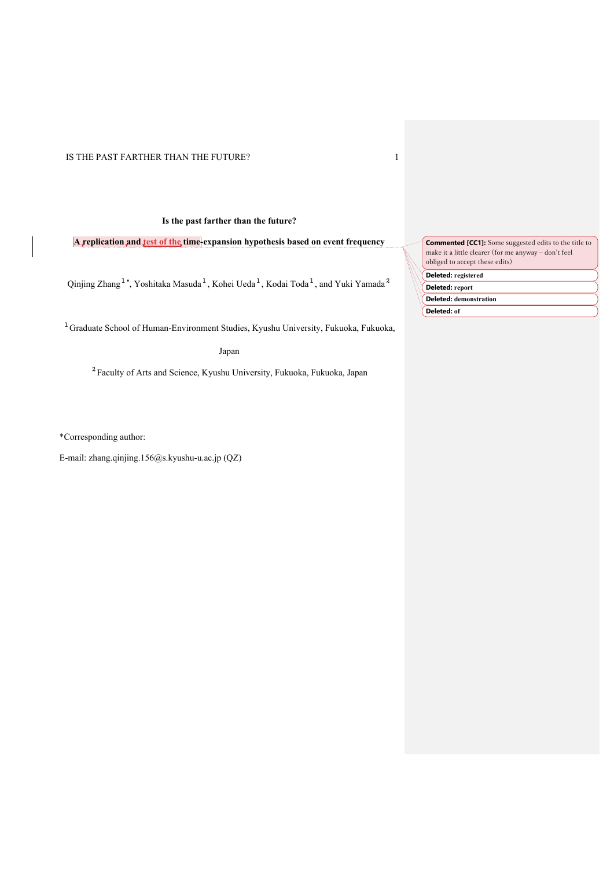# **Is the past farther than the future?**

**A replication and test of the time-expansion hypothesis based on event frequency**

Qinjing Zhang $^{1*}$ , Yoshitaka Masuda $^{1}$ , Kohei Ueda $^{1}$ , Kodai Toda $^{1}$ , and Yuki Yamada $^{2}$ 

 $^{1}$ Graduate School of Human-Environment Studies, Kyushu University, Fukuoka, Fukuoka,

Japan

<sup>2</sup>Faculty of Arts and Science, Kyushu University, Fukuoka, Fukuoka, Japan

\*Corresponding author:

E-mail: zhang.qinjing.156@s.kyushu-u.ac.jp (QZ)

**Deleted: registered Commented [CC1]:** Some suggested edits to the title to make it a little clearer (for me anyway - don't feel obliged to accept these edits)

**Deleted: report** 

**Deleted: demonstration** 

**Deleted: of**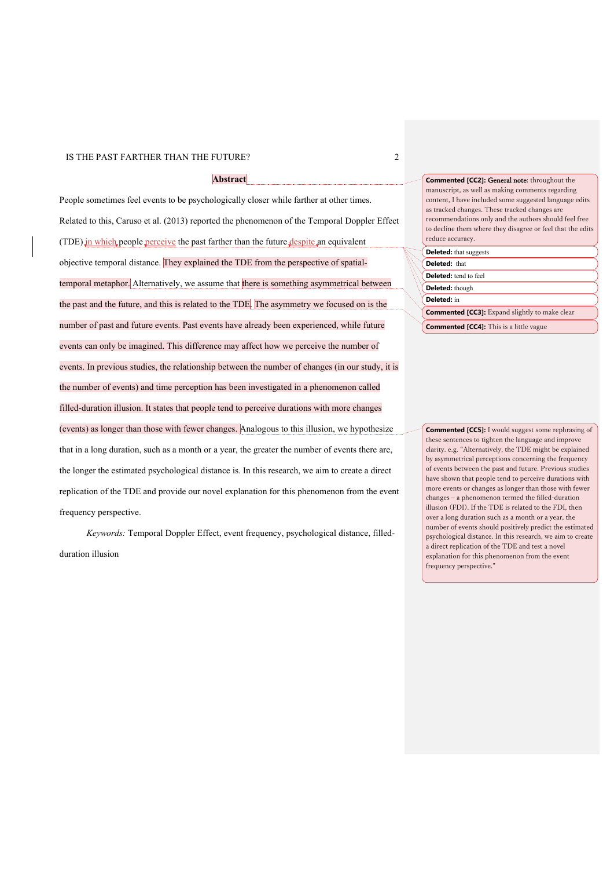# **Abstract**

People sometimes feel events to be psychologically closer while farther at other times. Related to this, Caruso et al. (2013) reported the phenomenon of the Temporal Doppler Effect (TDE) in which people perceive the past farther than the future despite an equivalent objective temporal distance. They explained the TDE from the perspective of spatialtemporal metaphor. Alternatively, we assume that there is something asymmetrical between the past and the future, and this is related to the TDE. The asymmetry we focused on is the number of past and future events. Past events have already been experienced, while future events can only be imagined. This difference may affect how we perceive the number of events. In previous studies, the relationship between the number of changes (in our study, it is the number of events) and time perception has been investigated in a phenomenon called filled-duration illusion. It states that people tend to perceive durations with more changes (events) as longer than those with fewer changes. Analogous to this illusion, we hypothesize that in a long duration, such as a month or a year, the greater the number of events there are, the longer the estimated psychological distance is. In this research, we aim to create a direct replication of the TDE and provide our novel explanation for this phenomenon from the event frequency perspective.

*Keywords:* Temporal Doppler Effect, event frequency, psychological distance, filledduration illusion

**Commented [CC2]:** General note: throughout the manuscript, as well as making comments regarding content, I have included some suggested language edits as tracked changes. These tracked changes are recommendations only and the authors should feel free to decline them where they disagree or feel that the edits reduce accuracy. **Deleted:** that suggests **Deleted:** that **Deleted:** tend to feel

# **Deleted:** though

**Deleted:** in

**Commented [CC3]:** Expand slightly to make clear

**Commented [CC4]:** This is a little vague

**Commented [CC5]:** I would suggest some rephrasing of these sentences to tighten the language and improve clarity. e.g. "Alternatively, the TDE might be explained by asymmetrical perceptions concerning the frequency of events between the past and future. Previous studies have shown that people tend to perceive durations with more events or changes as longer than those with fewer changes ‒ a phenomenon termed the filled-duration illusion (FDI). If the TDE is related to the FDI, then over a long duration such as a month or a year, the number of events should positively predict the estimated psychological distance. In this research, we aim to create a direct replication of the TDE and test a novel explanation for this phenomenon from the event frequency perspective."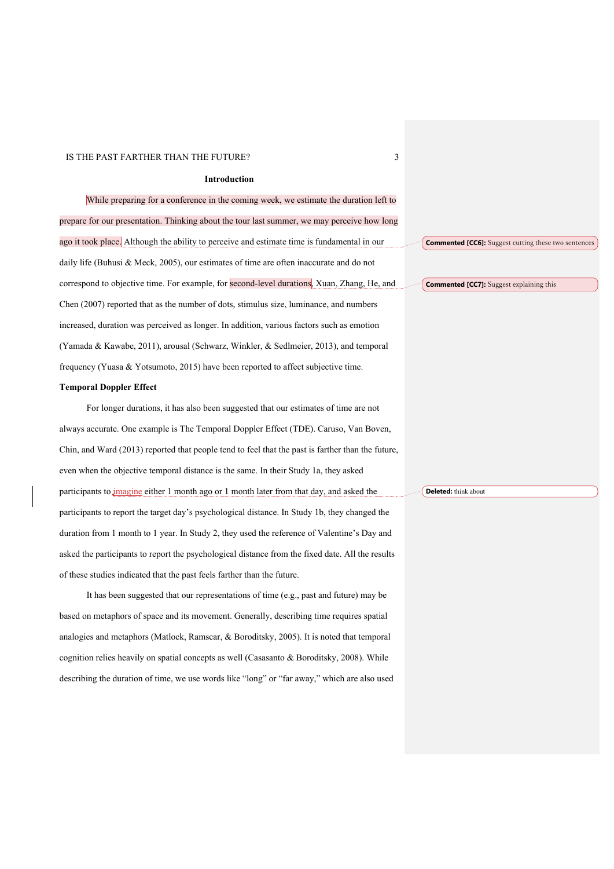#### **Introduction**

While preparing for a conference in the coming week, we estimate the duration left to prepare for our presentation. Thinking about the tour last summer, we may perceive how long ago it took place. Although the ability to perceive and estimate time is fundamental in our daily life (Buhusi & Meck, 2005), our estimates of time are often inaccurate and do not correspond to objective time. For example, for second-level durations, Xuan, Zhang, He, and Chen (2007) reported that as the number of dots, stimulus size, luminance, and numbers increased, duration was perceived as longer. In addition, various factors such as emotion (Yamada & Kawabe, 2011), arousal (Schwarz, Winkler, & Sedlmeier, 2013), and temporal frequency (Yuasa & Yotsumoto, 2015) have been reported to affect subjective time.

#### **Temporal Doppler Effect**

For longer durations, it has also been suggested that our estimates of time are not always accurate. One example is The Temporal Doppler Effect (TDE). Caruso, Van Boven, Chin, and Ward (2013) reported that people tend to feel that the past is farther than the future, even when the objective temporal distance is the same. In their Study 1a, they asked participants to *imagine* either 1 month ago or 1 month later from that day, and asked the participants to report the target day's psychological distance. In Study 1b, they changed the duration from 1 month to 1 year. In Study 2, they used the reference of Valentine's Day and asked the participants to report the psychological distance from the fixed date. All the results of these studies indicated that the past feels farther than the future.

It has been suggested that our representations of time (e.g., past and future) may be based on metaphors of space and its movement. Generally, describing time requires spatial analogies and metaphors (Matlock, Ramscar, & Boroditsky, 2005). It is noted that temporal cognition relies heavily on spatial concepts as well (Casasanto & Boroditsky, 2008). While describing the duration of time, we use words like "long" or "far away," which are also used **Deleted:** think about

**Commented [CC6]:** Suggest cutting these two sentences

**Commented [CC7]:** Suggest explaining this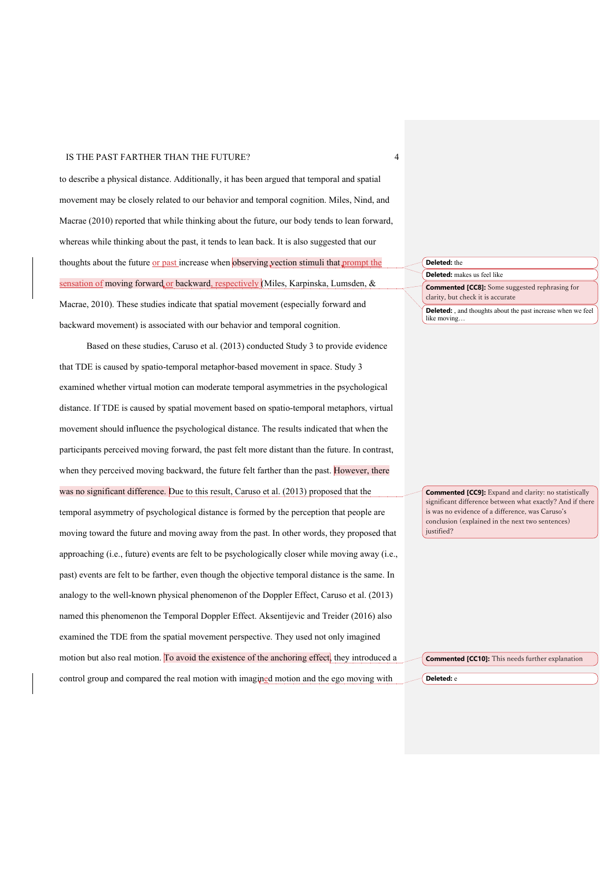to describe a physical distance. Additionally, it has been argued that temporal and spatial movement may be closely related to our behavior and temporal cognition. Miles, Nind, and Macrae (2010) reported that while thinking about the future, our body tends to lean forward, whereas while thinking about the past, it tends to lean back. It is also suggested that our thoughts about the future or past increase when observing vection stimuli that prompt the sensation of moving forward or backward, respectively (Miles, Karpinska, Lumsden, & Macrae, 2010). These studies indicate that spatial movement (especially forward and backward movement) is associated with our behavior and temporal cognition.

Based on these studies, Caruso et al. (2013) conducted Study 3 to provide evidence that TDE is caused by spatio-temporal metaphor-based movement in space. Study 3 examined whether virtual motion can moderate temporal asymmetries in the psychological distance. If TDE is caused by spatial movement based on spatio-temporal metaphors, virtual movement should influence the psychological distance. The results indicated that when the participants perceived moving forward, the past felt more distant than the future. In contrast, when they perceived moving backward, the future felt farther than the past. However, there was no significant difference. Due to this result, Caruso et al. (2013) proposed that the temporal asymmetry of psychological distance is formed by the perception that people are moving toward the future and moving away from the past. In other words, they proposed that approaching (i.e., future) events are felt to be psychologically closer while moving away (i.e., past) events are felt to be farther, even though the objective temporal distance is the same. In analogy to the well-known physical phenomenon of the Doppler Effect, Caruso et al. (2013) named this phenomenon the Temporal Doppler Effect. Aksentijevic and Treider (2016) also examined the TDE from the spatial movement perspective. They used not only imagined motion but also real motion. To avoid the existence of the anchoring effect, they introduced a control group and compared the real motion with imagined motion and the ego moving with

# **Deleted:** the **Deleted:** makes us feel like **Deleted:** , and thoughts about the past increase when we feel **Commented [CC8]:** Some suggested rephrasing for clarity, but check it is accurate

like moving…

**Commented [CC9]:** Expand and clarity: no statistically significant difference between what exactly? And if there is was no evidence of a difference, was Caruso's conclusion (explained in the next two sentences) justified?

**Commented [CC10]:** This needs further explanation

**Deleted:** e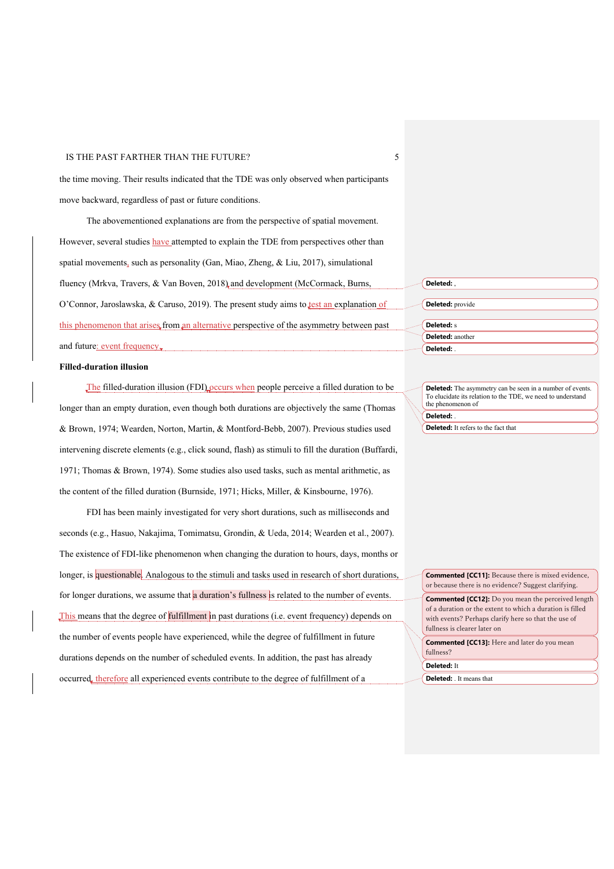the time moving. Their results indicated that the TDE was only observed when participants move backward, regardless of past or future conditions.

The abovementioned explanations are from the perspective of spatial movement. However, several studies have attempted to explain the TDE from perspectives other than spatial movements, such as personality (Gan, Miao, Zheng, & Liu, 2017), simulational fluency (Mrkva, Travers, & Van Boven, 2018) and development (McCormack, Burns, O'Connor, Jaroslawska, & Caruso, 2019). The present study aims to **test an explanation of** this phenomenon that arises from an alternative perspective of the asymmetry between past and future: event frequency.

#### **Filled-duration illusion**

The filled-duration illusion (FDI) occurs when people perceive a filled duration to be longer than an empty duration, even though both durations are objectively the same (Thomas & Brown, 1974; Wearden, Norton, Martin, & Montford-Bebb, 2007). Previous studies used intervening discrete elements (e.g., click sound, flash) as stimuli to fill the duration (Buffardi, 1971; Thomas & Brown, 1974). Some studies also used tasks, such as mental arithmetic, as the content of the filled duration (Burnside, 1971; Hicks, Miller, & Kinsbourne, 1976).

FDI has been mainly investigated for very short durations, such as milliseconds and seconds (e.g., Hasuo, Nakajima, Tomimatsu, Grondin, & Ueda, 2014; Wearden et al., 2007). The existence of FDI-like phenomenon when changing the duration to hours, days, months or longer, is questionable. Analogous to the stimuli and tasks used in research of short durations, for longer durations, we assume that a duration's fullness is related to the number of events. This means that the degree of fulfillment in past durations (i.e. event frequency) depends on the number of events people have experienced, while the degree of fulfillment in future durations depends on the number of scheduled events. In addition, the past has already occurred, therefore all experienced events contribute to the degree of fulfillment of a

| Deleted:,        |  |
|------------------|--|
|                  |  |
| Deleted: provide |  |
|                  |  |
| Deleted: s       |  |
| Deleted: another |  |
| Deleted: .       |  |

**Deleted:** The asymmetry can be seen in a number of events. To elucidate its relation to the TDE, we need to understand the phenomenon of **Deleted:** .

**Deleted:** It refers to the fact that

**Commented [CC11]:** Because there is mixed evidence, or because there is no evidence? Suggest clarifying.

**Commented [CC12]:** Do you mean the perceived length of a duration or the extent to which a duration is filled with events? Perhaps clarify here so that the use of fullness is clearer later on

**Deleted:** It **Commented [CC13]:** Here and later do you mean fullness?

**Deleted:** . It means that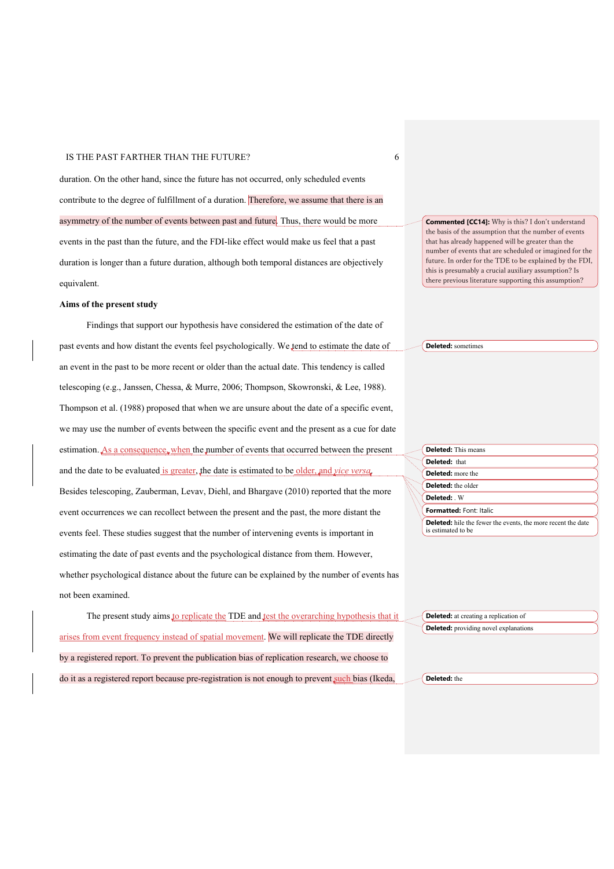duration. On the other hand, since the future has not occurred, only scheduled events contribute to the degree of fulfillment of a duration. Therefore, we assume that there is an asymmetry of the number of events between past and future. Thus, there would be more events in the past than the future, and the FDI-like effect would make us feel that a past duration is longer than a future duration, although both temporal distances are objectively equivalent.

#### **Aims of the present study**

Findings that support our hypothesis have considered the estimation of the date of past events and how distant the events feel psychologically. We tend to estimate the date of an event in the past to be more recent or older than the actual date. This tendency is called telescoping (e.g., Janssen, Chessa, & Murre, 2006; Thompson, Skowronski, & Lee, 1988). Thompson et al. (1988) proposed that when we are unsure about the date of a specific event, we may use the number of events between the specific event and the present as a cue for date estimation. As a consequence, when the number of events that occurred between the present and the date to be evaluated is greater, the date is estimated to be older, and *vice versa*. Besides telescoping, Zauberman, Levav, Diehl, and Bhargave (2010) reported that the more event occurrences we can recollect between the present and the past, the more distant the events feel. These studies suggest that the number of intervening events is important in estimating the date of past events and the psychological distance from them. However, whether psychological distance about the future can be explained by the number of events has not been examined.

The present study aims to replicate the TDE and test the overarching hypothesis that it arises from event frequency instead of spatial movement. We will replicate the TDE directly by a registered report. To prevent the publication bias of replication research, we choose to do it as a registered report because pre-registration is not enough to prevent such bias (Ikeda,

**Commented [CC14]:** Why is this? I don't understand the basis of the assumption that the number of events that has already happened will be greater than the number of events that are scheduled or imagined for the future. In order for the TDE to be explained by the FDI, this is presumably a crucial auxiliary assumption? Is there previous literature supporting this assumption?

**Deleted:** sometimes

|  | <b>Deleted:</b> This means<br>Deleted: that<br><b>Deleted:</b> more the<br><b>Deleted:</b> the older<br>Deleted: W<br><b>Formatted: Font: Italic</b> |  |  |  |  |  |
|--|------------------------------------------------------------------------------------------------------------------------------------------------------|--|--|--|--|--|
|  |                                                                                                                                                      |  |  |  |  |  |
|  |                                                                                                                                                      |  |  |  |  |  |
|  |                                                                                                                                                      |  |  |  |  |  |
|  |                                                                                                                                                      |  |  |  |  |  |
|  |                                                                                                                                                      |  |  |  |  |  |
|  | <b>Deleted:</b> hile the fewer the events, the more recent the date<br>is estimated to be                                                            |  |  |  |  |  |

**Deleted:** at creating a replication of **Deleted:** providing novel explanations

**Deleted:** the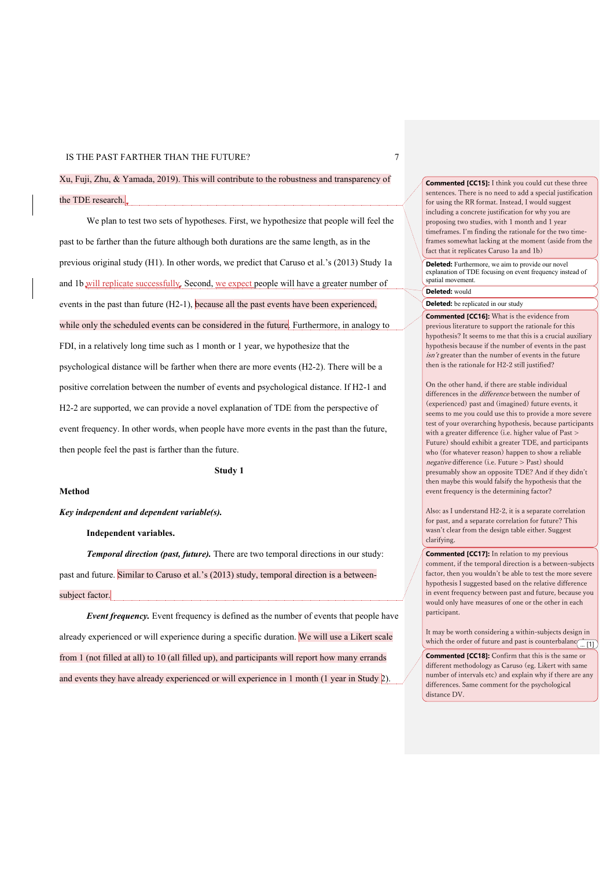Xu, Fuji, Zhu, & Yamada, 2019). This will contribute to the robustness and transparency of the TDE research.

We plan to test two sets of hypotheses. First, we hypothesize that people will feel the past to be farther than the future although both durations are the same length, as in the previous original study (H1). In other words, we predict that Caruso et al.'s (2013) Study 1a and 1b will replicate successfully. Second, we expect people will have a greater number of events in the past than future (H2-1), because all the past events have been experienced, while only the scheduled events can be considered in the future. Furthermore, in analogy to FDI, in a relatively long time such as 1 month or 1 year, we hypothesize that the psychological distance will be farther when there are more events (H2-2). There will be a positive correlation between the number of events and psychological distance. If H2-1 and H2-2 are supported, we can provide a novel explanation of TDE from the perspective of event frequency. In other words, when people have more events in the past than the future, then people feel the past is farther than the future.

**Study 1**

#### **Method**

*Key independent and dependent variable(s).*

**Independent variables.**

*Temporal direction (past, future).* There are two temporal directions in our study: past and future. Similar to Caruso et al.'s (2013) study, temporal direction is a betweensubject factor.

*Event frequency.* Event frequency is defined as the number of events that people have already experienced or will experience during a specific duration. We will use a Likert scale from 1 (not filled at all) to 10 (all filled up), and participants will report how many errands and events they have already experienced or will experience in 1 month (1 year in Study  $2$ ).

**Commented [CC15]:** I think you could cut these three sentences. There is no need to add a special justification for using the RR format. Instead, I would suggest including a concrete justification for why you are proposing two studies, with 1 month and 1 year timeframes. I'm finding the rationale for the two timeframes somewhat lacking at the moment (aside from the fact that it replicates Caruso 1a and 1b)

**Deleted:** Furthermore, we aim to provide our novel explanation of TDE focusing on event frequency instead of spatial movement.

# **Deleted:** would

**Deleted:** be replicated in our study

**Commented [CC16]:** What is the evidence from previous literature to support the rationale for this hypothesis? It seems to me that this is a crucial auxiliary hypothesis because if the number of events in the past isn't greater than the number of events in the future then is the rationale for H2-2 still justified?

On the other hand, if there are stable individual differences in the difference between the number of (experienced) past and (imagined) future events, it seems to me you could use this to provide a more severe test of your overarching hypothesis, because participants with a greater difference (i.e. higher value of Past > Future) should exhibit a greater TDE, and participants who (for whatever reason) happen to show a reliable negative difference (i.e. Future > Past) should presumably show an opposite TDE? And if they didn't then maybe this would falsify the hypothesis that the event frequency is the determining factor?

Also: as I understand H2-2, it is a separate correlation for past, and a separate correlation for future? This wasn't clear from the design table either. Suggest clarifying.

**Commented [CC17]:** In relation to my previous comment, if the temporal direction is a between-subjects factor, then you wouldn't be able to test the more severe hypothesis I suggested based on the relative difference in event frequency between past and future, because you would only have measures of one or the other in each participant.

It may be worth considering a within-subjects design in which the order of future and past is counterbalanced. ... [1]

**Commented [CC18]:** Confirm that this is the same or different methodology as Caruso (eg. Likert with same number of intervals etc) and explain why if there are any differences. Same comment for the psychological distance DV.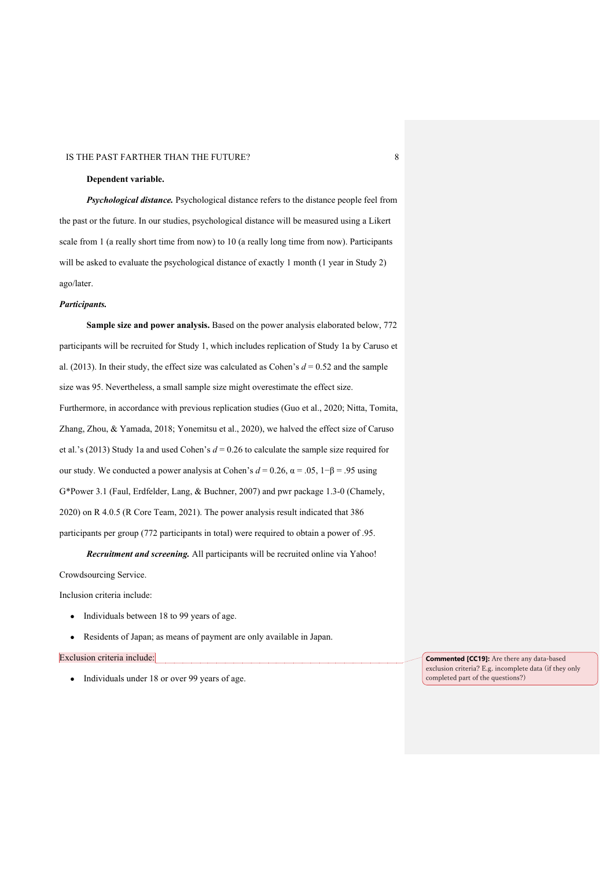## **Dependent variable.**

*Psychological distance.* Psychological distance refers to the distance people feel from the past or the future. In our studies, psychological distance will be measured using a Likert scale from 1 (a really short time from now) to 10 (a really long time from now). Participants will be asked to evaluate the psychological distance of exactly 1 month (1 year in Study 2) ago/later.

#### *Participants.*

**Sample size and power analysis.** Based on the power analysis elaborated below, 772 participants will be recruited for Study 1, which includes replication of Study 1a by Caruso et al. (2013). In their study, the effect size was calculated as Cohen's  $d = 0.52$  and the sample size was 95. Nevertheless, a small sample size might overestimate the effect size. Furthermore, in accordance with previous replication studies (Guo et al., 2020; Nitta, Tomita, Zhang, Zhou, & Yamada, 2018; Yonemitsu et al., 2020), we halved the effect size of Caruso et al.'s (2013) Study 1a and used Cohen's *d* = 0.26 to calculate the sample size required for our study. We conducted a power analysis at Cohen's  $d = 0.26$ ,  $\alpha = .05$ ,  $1-\beta = .95$  using G\*Power 3.1 (Faul, Erdfelder, Lang, & Buchner, 2007) and pwr package 1.3-0 (Chamely, 2020) on R 4.0.5 (R Core Team, 2021). The power analysis result indicated that 386 participants per group (772 participants in total) were required to obtain a power of .95.

*Recruitment and screening.* All participants will be recruited online via Yahoo! Crowdsourcing Service.

Inclusion criteria include:

- Individuals between 18 to 99 years of age.
- Residents of Japan; as means of payment are only available in Japan.

#### Exclusion criteria include:

● Individuals under 18 or over 99 years of age.

**Commented [CC19]:** Are there any data-based exclusion criteria? E.g. incomplete data (if they only completed part of the questions?)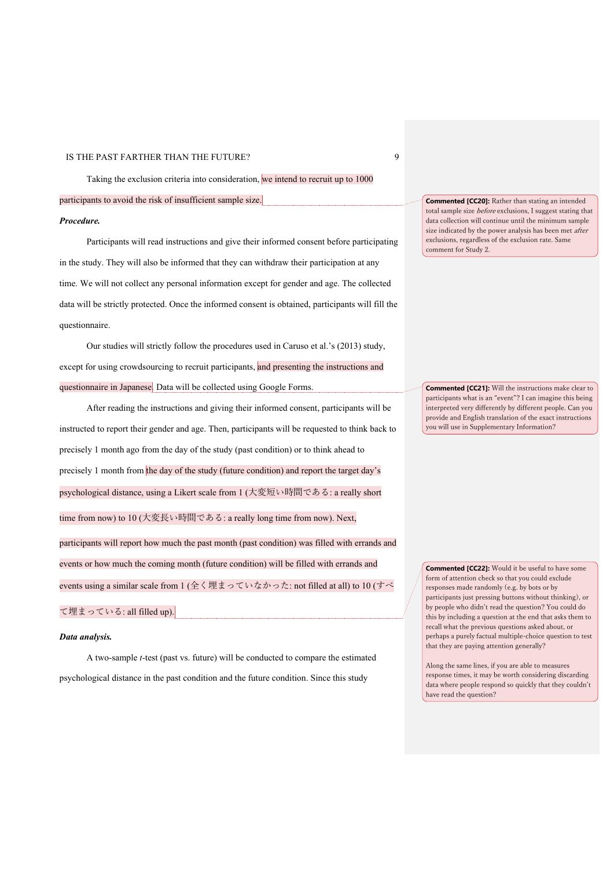Taking the exclusion criteria into consideration, we intend to recruit up to 1000

participants to avoid the risk of insufficient sample size.

#### *Procedure.*

Participants will read instructions and give their informed consent before participating in the study. They will also be informed that they can withdraw their participation at any time. We will not collect any personal information except for gender and age. The collected data will be strictly protected. Once the informed consent is obtained, participants will fill the questionnaire.

Our studies will strictly follow the procedures used in Caruso et al.'s (2013) study, except for using crowdsourcing to recruit participants, and presenting the instructions and questionnaire in Japanese. Data will be collected using Google Forms.

After reading the instructions and giving their informed consent, participants will be instructed to report their gender and age. Then, participants will be requested to think back to precisely 1 month ago from the day of the study (past condition) or to think ahead to precisely 1 month from the day of the study (future condition) and report the target day's psychological distance, using a Likert scale from 1 (⼤変短い時間である: a really short time from now) to 10 (⼤変⻑い時間である: a really long time from now). Next, participants will report how much the past month (past condition) was filled with errands and events or how much the coming month (future condition) will be filled with errands and events using a similar scale from 1 (全く埋まっていなかった: not filled at all) to 10 (すべ

# て埋まっている: all filled up).

#### *Data analysis.*

A two-sample *t*-test (past vs. future) will be conducted to compare the estimated psychological distance in the past condition and the future condition. Since this study

**Commented [CC20]:** Rather than stating an intended total sample size before exclusions, I suggest stating that data collection will continue until the minimum sample size indicated by the power analysis has been met after exclusions, regardless of the exclusion rate. Same comment for Study 2.

**Commented [CC21]:** Will the instructions make clear to participants what is an "event"? I can imagine this being interpreted very differently by different people. Can you provide and English translation of the exact instructions you will use in Supplementary Information?

**Commented [CC22]:** Would it be useful to have some form of attention check so that you could exclude responses made randomly (e.g. by bots or by participants just pressing buttons without thinking), or by people who didn't read the question? You could do this by including a question at the end that asks them to recall what the previous questions asked about, or perhaps a purely factual multiple-choice question to test that they are paying attention generally?

Along the same lines, if you are able to measures response times, it may be worth considering discarding data where people respond so quickly that they couldn't have read the question?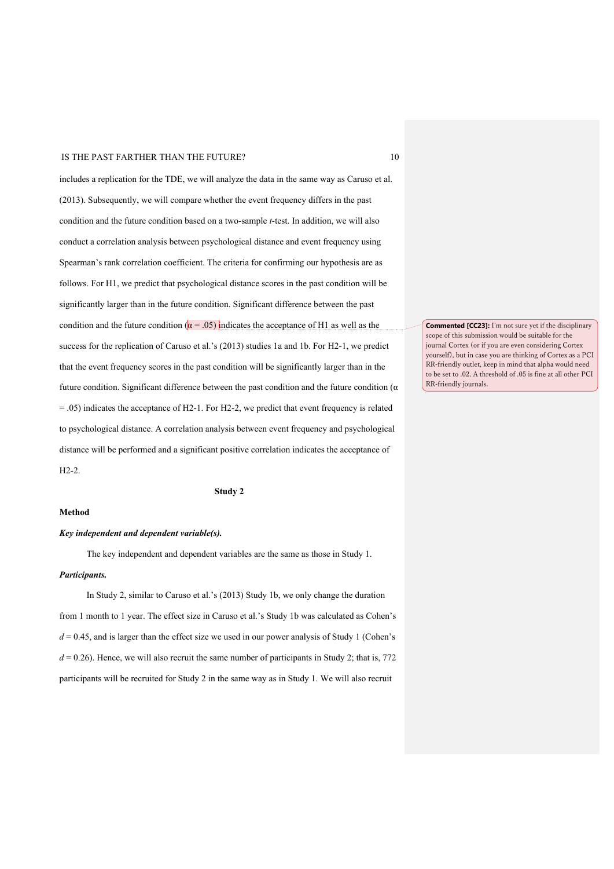includes a replication for the TDE, we will analyze the data in the same way as Caruso et al. (2013). Subsequently, we will compare whether the event frequency differs in the past condition and the future condition based on a two-sample *t*-test. In addition, we will also conduct a correlation analysis between psychological distance and event frequency using Spearman's rank correlation coefficient. The criteria for confirming our hypothesis are as follows. For H1, we predict that psychological distance scores in the past condition will be significantly larger than in the future condition. Significant difference between the past condition and the future condition ( $\alpha = .05$ ) indicates the acceptance of H1 as well as the success for the replication of Caruso et al.'s (2013) studies 1a and 1b. For H2-1, we predict that the event frequency scores in the past condition will be significantly larger than in the future condition. Significant difference between the past condition and the future condition (α  $=$  .05) indicates the acceptance of H2-1. For H2-2, we predict that event frequency is related to psychological distance. A correlation analysis between event frequency and psychological distance will be performed and a significant positive correlation indicates the acceptance of H2-2.

**Study 2**

# **Method**

# *Key independent and dependent variable(s).*

The key independent and dependent variables are the same as those in Study 1. *Participants.*

In Study 2, similar to Caruso et al.'s (2013) Study 1b, we only change the duration from 1 month to 1 year. The effect size in Caruso et al.'s Study 1b was calculated as Cohen's  $d = 0.45$ , and is larger than the effect size we used in our power analysis of Study 1 (Cohen's  $d = 0.26$ ). Hence, we will also recruit the same number of participants in Study 2; that is, 772 participants will be recruited for Study 2 in the same way as in Study 1. We will also recruit

**Commented [CC23]:** I'm not sure yet if the disciplinary scope of this submission would be suitable for the journal Cortex (or if you are even considering Cortex yourself), but in case you are thinking of Cortex as a PCI RR-friendly outlet, keep in mind that alpha would need to be set to .02. A threshold of .05 is fine at all other PCI RR-friendly journals.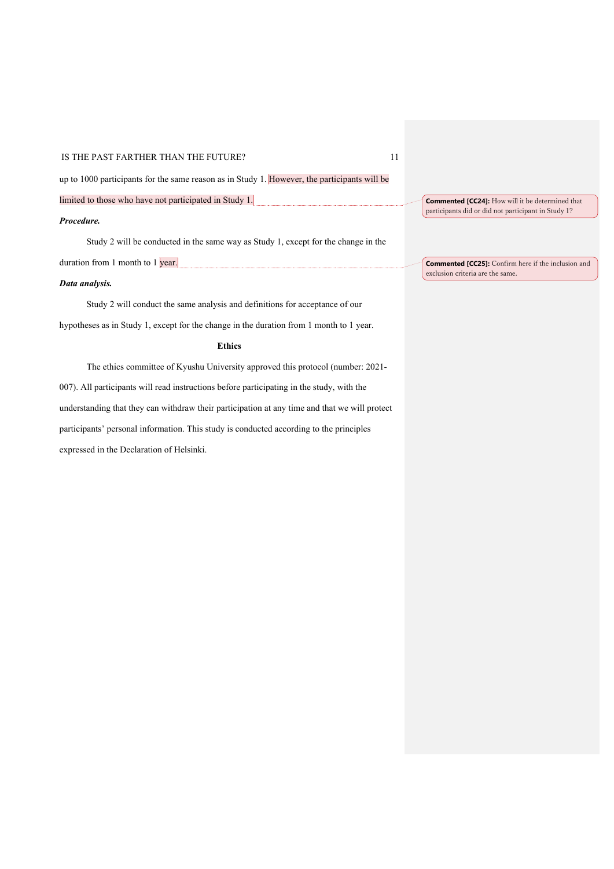up to 1000 participants for the same reason as in Study 1. However, the participants will be

limited to those who have not participated in Study 1.

# *Procedure.*

Study 2 will be conducted in the same way as Study 1, except for the change in the duration from 1 month to 1 year.

# *Data analysis.*

Study 2 will conduct the same analysis and definitions for acceptance of our hypotheses as in Study 1, except for the change in the duration from 1 month to 1 year.

# **Ethics**

The ethics committee of Kyushu University approved this protocol (number: 2021- 007). All participants will read instructions before participating in the study, with the understanding that they can withdraw their participation at any time and that we will protect participants' personal information. This study is conducted according to the principles expressed in the Declaration of Helsinki.

**Commented [CC24]:** How will it be determined that participants did or did not participant in Study 1?

**Commented [CC25]:** Confirm here if the inclusion and exclusion criteria are the same.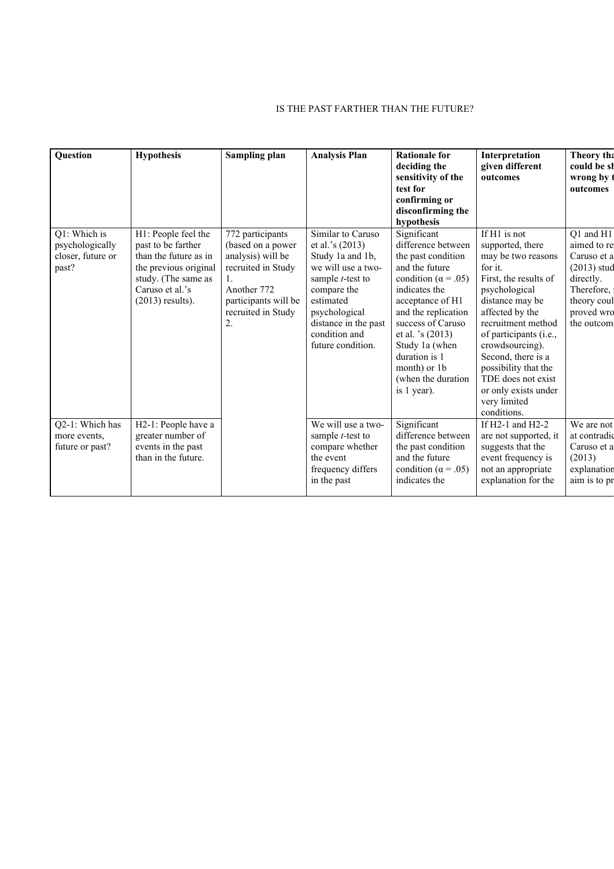| Question                                                      | <b>Hypothesis</b>                                                                                                                                           | Sampling plan                                                                                                                                       | <b>Analysis Plan</b>                                                                                                                                                                                                    | <b>Rationale for</b><br>deciding the<br>sensitivity of the<br>test for<br>confirming or<br>disconfirming the<br>hypothesis                                                                                                                                                                            | Interpretation<br>given different<br>outcomes                                                                                                                                                                                                                                                                                                   | Theory tha<br>could be sh<br>wrong by<br>outcomes                                                                              |
|---------------------------------------------------------------|-------------------------------------------------------------------------------------------------------------------------------------------------------------|-----------------------------------------------------------------------------------------------------------------------------------------------------|-------------------------------------------------------------------------------------------------------------------------------------------------------------------------------------------------------------------------|-------------------------------------------------------------------------------------------------------------------------------------------------------------------------------------------------------------------------------------------------------------------------------------------------------|-------------------------------------------------------------------------------------------------------------------------------------------------------------------------------------------------------------------------------------------------------------------------------------------------------------------------------------------------|--------------------------------------------------------------------------------------------------------------------------------|
| Q1: Which is<br>psychologically<br>closer, future or<br>past? | H1: People feel the<br>past to be farther<br>than the future as in<br>the previous original<br>study. (The same as<br>Caruso et al.'s<br>$(2013)$ results). | 772 participants<br>(based on a power<br>analysis) will be<br>recruited in Study<br>Another 772<br>participants will be<br>recruited in Study<br>2. | Similar to Caruso<br>et al.'s $(2013)$<br>Study 1a and 1b,<br>we will use a two-<br>sample <i>t</i> -test to<br>compare the<br>estimated<br>psychological<br>distance in the past<br>condition and<br>future condition. | Significant<br>difference between<br>the past condition<br>and the future<br>condition ( $\alpha$ = .05)<br>indicates the<br>acceptance of H1<br>and the replication<br>success of Caruso<br>et al. 's (2013)<br>Study 1a (when<br>duration is 1<br>month) or 1b<br>(when the duration<br>is 1 year). | If H1 is not<br>supported, there<br>may be two reasons<br>for it.<br>First, the results of<br>psychological<br>distance may be<br>affected by the<br>recruitment method<br>of participants (i.e.,<br>crowdsourcing).<br>Second, there is a<br>possibility that the<br>TDE does not exist<br>or only exists under<br>very limited<br>conditions. | Q1 and H1<br>aimed to re<br>Caruso et a<br>$(2013)$ stud<br>directly.<br>Therefore,<br>theory coul<br>proved wro<br>the outcom |
| Q2-1: Which has<br>more events,<br>future or past?            | H2-1: People have a<br>greater number of<br>events in the past<br>than in the future.                                                                       |                                                                                                                                                     | We will use a two-<br>sample <i>t</i> -test to<br>compare whether<br>the event<br>frequency differs<br>in the past                                                                                                      | Significant<br>difference between<br>the past condition<br>and the future<br>condition ( $\alpha$ = .05)<br>indicates the                                                                                                                                                                             | If H2-1 and H2-2<br>are not supported, it<br>suggests that the<br>event frequency is<br>not an appropriate<br>explanation for the                                                                                                                                                                                                               | We are not<br>at contradio<br>Caruso et a<br>(2013)<br>explanation<br>aim is to pr                                             |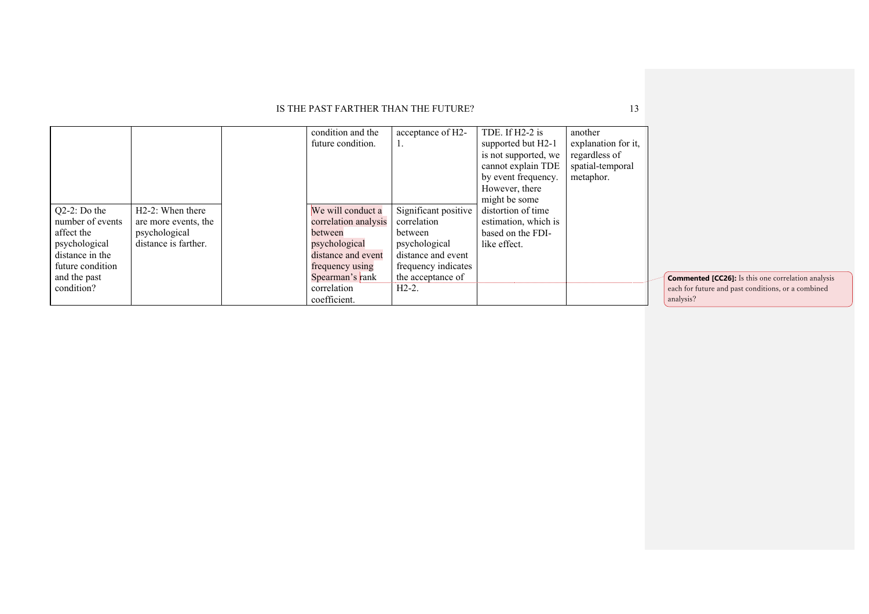|                  |                               | condition and the<br>future condition. | acceptance of H2-    | TDE. If H2-2 is<br>supported but H2-1<br>is not supported, we<br>cannot explain TDE<br>by event frequency.<br>However, there<br>might be some | another<br>explanation for it,<br>regardless of<br>spatial-temporal<br>metaphor. |  |
|------------------|-------------------------------|----------------------------------------|----------------------|-----------------------------------------------------------------------------------------------------------------------------------------------|----------------------------------------------------------------------------------|--|
| $Q2-2$ : Do the  | H <sub>2</sub> -2: When there | We will conduct a                      | Significant positive | distortion of time                                                                                                                            |                                                                                  |  |
| number of events | are more events, the          | correlation analysis                   | correlation          | estimation, which is                                                                                                                          |                                                                                  |  |
| affect the       | psychological                 | between                                | between              | based on the FDI-                                                                                                                             |                                                                                  |  |
| psychological    | distance is farther.          | psychological                          | psychological        | like effect.                                                                                                                                  |                                                                                  |  |
| distance in the  |                               | distance and event                     | distance and event   |                                                                                                                                               |                                                                                  |  |
| future condition |                               | frequency using                        | frequency indicates  |                                                                                                                                               |                                                                                  |  |
| and the past     |                               | Spearman's rank                        | the acceptance of    |                                                                                                                                               |                                                                                  |  |
| condition?       |                               | correlation                            | $H2-2$ .             |                                                                                                                                               |                                                                                  |  |
|                  |                               | coefficient.                           |                      |                                                                                                                                               |                                                                                  |  |

**Commented [CC26]:** Is this one correlation analysis each for future and past conditions, or a combined analysis?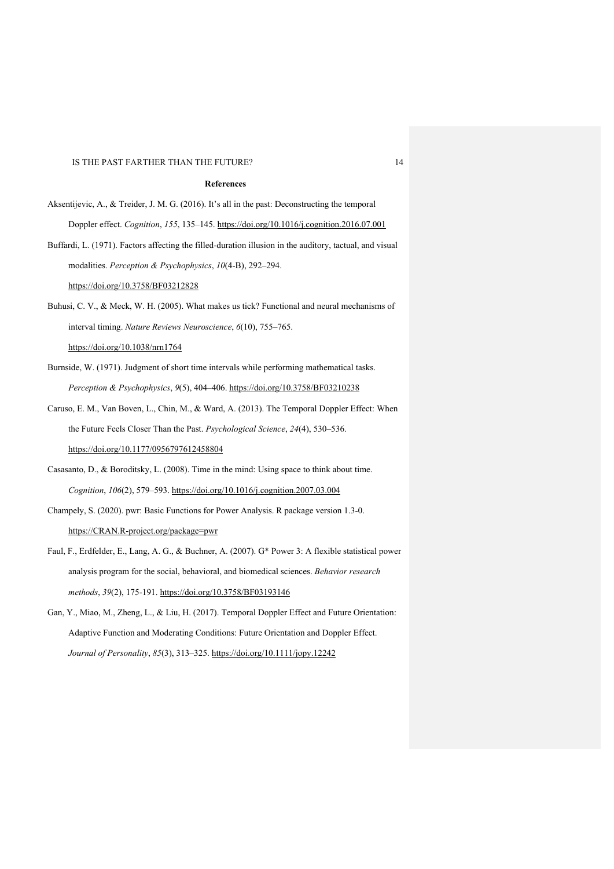#### **References**

Aksentijevic, A., & Treider, J. M. G. (2016). It's all in the past: Deconstructing the temporal Doppler effect. *Cognition*, *155*, 135–145. https://doi.org/10.1016/j.cognition.2016.07.001

Buffardi, L. (1971). Factors affecting the filled-duration illusion in the auditory, tactual, and visual modalities. *Perception & Psychophysics*, *10*(4-B), 292–294. https://doi.org/10.3758/BF03212828

Buhusi, C. V., & Meck, W. H. (2005). What makes us tick? Functional and neural mechanisms of interval timing. *Nature Reviews Neuroscience*, *6*(10), 755–765. https://doi.org/10.1038/nrn1764

- Burnside, W. (1971). Judgment of short time intervals while performing mathematical tasks. *Perception & Psychophysics*, *9*(5), 404–406. https://doi.org/10.3758/BF03210238
- Caruso, E. M., Van Boven, L., Chin, M., & Ward, A. (2013). The Temporal Doppler Effect: When the Future Feels Closer Than the Past. *Psychological Science*, *24*(4), 530–536. https://doi.org/10.1177/0956797612458804
- Casasanto, D., & Boroditsky, L. (2008). Time in the mind: Using space to think about time. *Cognition*, *106*(2), 579–593. https://doi.org/10.1016/j.cognition.2007.03.004
- Champely, S. (2020). pwr: Basic Functions for Power Analysis. R package version 1.3-0. https://CRAN.R-project.org/package=pwr
- Faul, F., Erdfelder, E., Lang, A. G., & Buchner, A. (2007). G\* Power 3: A flexible statistical power analysis program for the social, behavioral, and biomedical sciences. *Behavior research methods*, *39*(2), 175-191. https://doi.org/10.3758/BF03193146
- Gan, Y., Miao, M., Zheng, L., & Liu, H. (2017). Temporal Doppler Effect and Future Orientation: Adaptive Function and Moderating Conditions: Future Orientation and Doppler Effect. *Journal of Personality*, *85*(3), 313–325. https://doi.org/10.1111/jopy.12242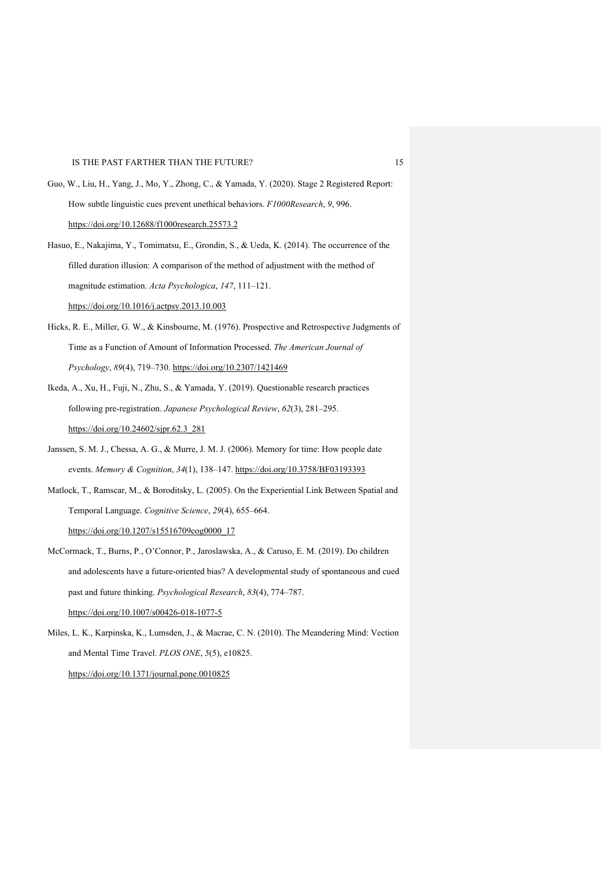- Guo, W., Liu, H., Yang, J., Mo, Y., Zhong, C., & Yamada, Y. (2020). Stage 2 Registered Report: How subtle linguistic cues prevent unethical behaviors. *F1000Research*, *9*, 996. https://doi.org/10.12688/f1000research.25573.2
- Hasuo, E., Nakajima, Y., Tomimatsu, E., Grondin, S., & Ueda, K. (2014). The occurrence of the filled duration illusion: A comparison of the method of adjustment with the method of magnitude estimation. *Acta Psychologica*, *147*, 111–121. https://doi.org/10.1016/j.actpsy.2013.10.003
- Hicks, R. E., Miller, G. W., & Kinsbourne, M. (1976). Prospective and Retrospective Judgments of Time as a Function of Amount of Information Processed. *The American Journal of Psychology*, *89*(4), 719–730. https://doi.org/10.2307/1421469
- Ikeda, A., Xu, H., Fuji, N., Zhu, S., & Yamada, Y. (2019). Questionable research practices following pre-registration. *Japanese Psychological Review*, *62*(3), 281–295. https://doi.org/10.24602/sjpr.62.3\_281
- Janssen, S. M. J., Chessa, A. G., & Murre, J. M. J. (2006). Memory for time: How people date events. *Memory & Cognition*, *34*(1), 138–147. https://doi.org/10.3758/BF03193393
- Matlock, T., Ramscar, M., & Boroditsky, L. (2005). On the Experiential Link Between Spatial and Temporal Language. *Cognitive Science*, *29*(4), 655–664.

https://doi.org/10.1207/s15516709cog0000\_17

- McCormack, T., Burns, P., O'Connor, P., Jaroslawska, A., & Caruso, E. M. (2019). Do children and adolescents have a future-oriented bias? A developmental study of spontaneous and cued past and future thinking. *Psychological Research*, *83*(4), 774–787. https://doi.org/10.1007/s00426-018-1077-5
- Miles, L. K., Karpinska, K., Lumsden, J., & Macrae, C. N. (2010). The Meandering Mind: Vection and Mental Time Travel. *PLOS ONE*, *5*(5), e10825.

https://doi.org/10.1371/journal.pone.0010825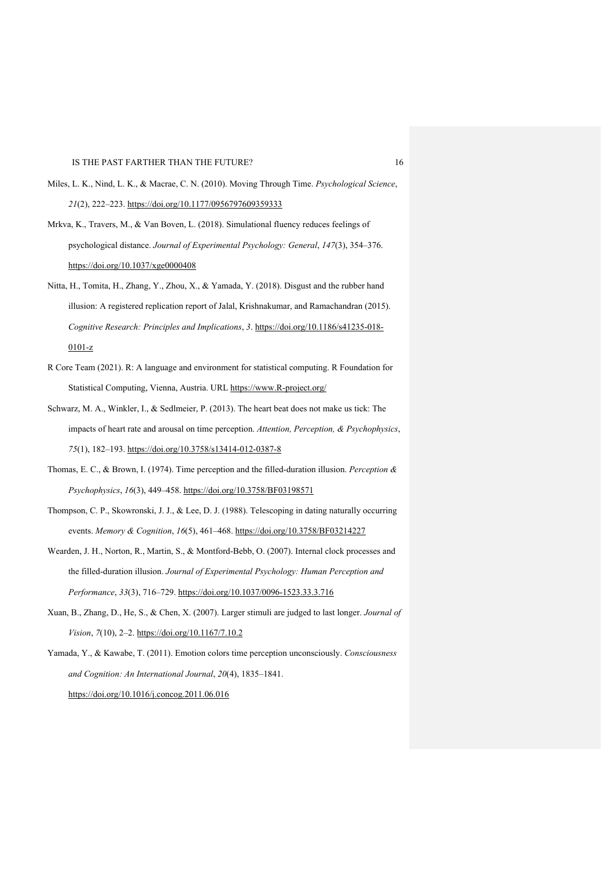- Miles, L. K., Nind, L. K., & Macrae, C. N. (2010). Moving Through Time. *Psychological Science*, *21*(2), 222–223. https://doi.org/10.1177/0956797609359333
- Mrkva, K., Travers, M., & Van Boven, L. (2018). Simulational fluency reduces feelings of psychological distance. *Journal of Experimental Psychology: General*, *147*(3), 354–376. https://doi.org/10.1037/xge0000408
- Nitta, H., Tomita, H., Zhang, Y., Zhou, X., & Yamada, Y. (2018). Disgust and the rubber hand illusion: A registered replication report of Jalal, Krishnakumar, and Ramachandran (2015). *Cognitive Research: Principles and Implications*, *3*. https://doi.org/10.1186/s41235-018- 0101-z
- R Core Team (2021). R: A language and environment for statistical computing. R Foundation for Statistical Computing, Vienna, Austria. URL https://www.R-project.org/
- Schwarz, M. A., Winkler, I., & Sedlmeier, P. (2013). The heart beat does not make us tick: The impacts of heart rate and arousal on time perception. *Attention, Perception, & Psychophysics*, *75*(1), 182–193. https://doi.org/10.3758/s13414-012-0387-8
- Thomas, E. C., & Brown, I. (1974). Time perception and the filled-duration illusion. *Perception & Psychophysics*, *16*(3), 449–458. https://doi.org/10.3758/BF03198571
- Thompson, C. P., Skowronski, J. J., & Lee, D. J. (1988). Telescoping in dating naturally occurring events. *Memory & Cognition*, *16*(5), 461–468. https://doi.org/10.3758/BF03214227
- Wearden, J. H., Norton, R., Martin, S., & Montford-Bebb, O. (2007). Internal clock processes and the filled-duration illusion. *Journal of Experimental Psychology: Human Perception and Performance*, *33*(3), 716–729. https://doi.org/10.1037/0096-1523.33.3.716
- Xuan, B., Zhang, D., He, S., & Chen, X. (2007). Larger stimuli are judged to last longer. *Journal of Vision*, *7*(10), 2–2. https://doi.org/10.1167/7.10.2
- Yamada, Y., & Kawabe, T. (2011). Emotion colors time perception unconsciously. *Consciousness and Cognition: An International Journal*, *20*(4), 1835–1841. https://doi.org/10.1016/j.concog.2011.06.016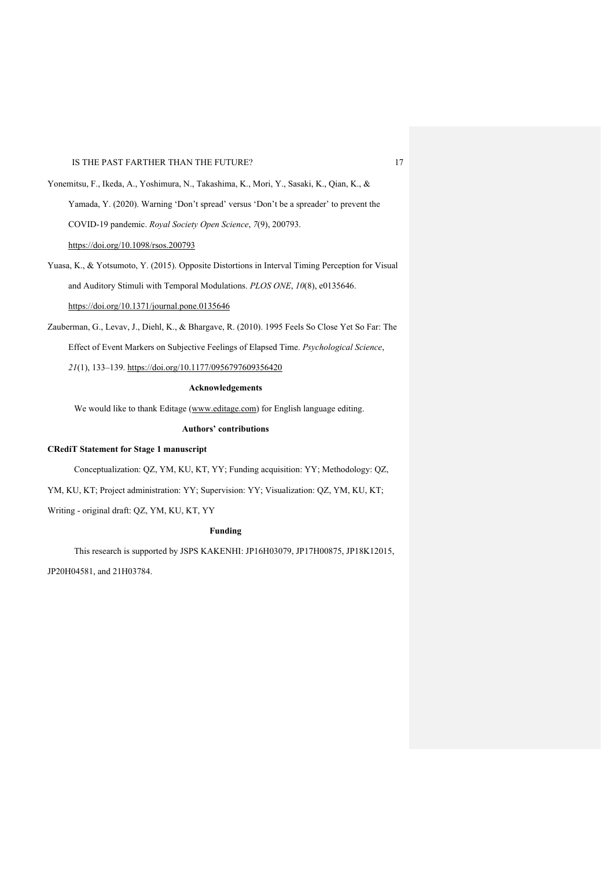Yonemitsu, F., Ikeda, A., Yoshimura, N., Takashima, K., Mori, Y., Sasaki, K., Qian, K., & Yamada, Y. (2020). Warning 'Don't spread' versus 'Don't be a spreader' to prevent the COVID-19 pandemic. *Royal Society Open Science*, *7*(9), 200793. https://doi.org/10.1098/rsos.200793

Yuasa, K., & Yotsumoto, Y. (2015). Opposite Distortions in Interval Timing Perception for Visual and Auditory Stimuli with Temporal Modulations. *PLOS ONE*, *10*(8), e0135646. https://doi.org/10.1371/journal.pone.0135646

Zauberman, G., Levav, J., Diehl, K., & Bhargave, R. (2010). 1995 Feels So Close Yet So Far: The Effect of Event Markers on Subjective Feelings of Elapsed Time. *Psychological Science*,

*21*(1), 133–139. https://doi.org/10.1177/0956797609356420

# **Acknowledgements**

We would like to thank Editage (www.editage.com) for English language editing.

#### **Authors' contributions**

### **CRediT Statement for Stage 1 manuscript**

Conceptualization: QZ, YM, KU, KT, YY; Funding acquisition: YY; Methodology: QZ,

YM, KU, KT; Project administration: YY; Supervision: YY; Visualization: QZ, YM, KU, KT;

Writing - original draft: QZ, YM, KU, KT, YY

# **Funding**

This research is supported by JSPS KAKENHI: JP16H03079, JP17H00875, JP18K12015,

JP20H04581, and 21H03784.